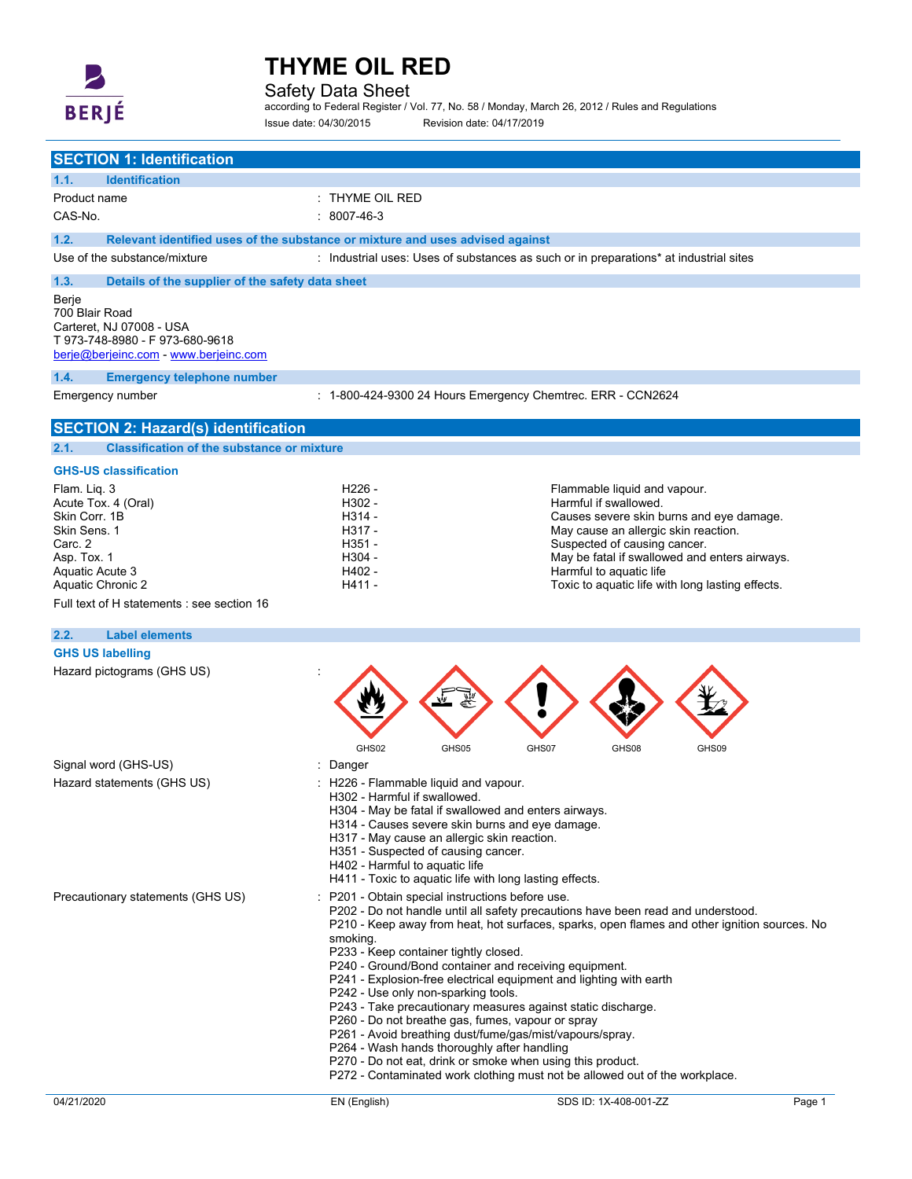

L.

## **THYME OIL RED**

Safety Data Sheet

according to Federal Register / Vol. 77, No. 58 / Monday, March 26, 2012 / Rules and Regulations Issue date: 04/30/2015 Revision date: 04/17/2019

| <b>SECTION 1: Identification</b>                                                                                              |                                                                                                                                                                                               |                                                                                                                                                                                                                                                                                                                                                                                                                                                                                                                                                                                                                                               |        |
|-------------------------------------------------------------------------------------------------------------------------------|-----------------------------------------------------------------------------------------------------------------------------------------------------------------------------------------------|-----------------------------------------------------------------------------------------------------------------------------------------------------------------------------------------------------------------------------------------------------------------------------------------------------------------------------------------------------------------------------------------------------------------------------------------------------------------------------------------------------------------------------------------------------------------------------------------------------------------------------------------------|--------|
| <b>Identification</b><br>1.1.                                                                                                 |                                                                                                                                                                                               |                                                                                                                                                                                                                                                                                                                                                                                                                                                                                                                                                                                                                                               |        |
| Product name                                                                                                                  | : THYME OIL RED                                                                                                                                                                               |                                                                                                                                                                                                                                                                                                                                                                                                                                                                                                                                                                                                                                               |        |
| CAS-No.                                                                                                                       | $: 8007 - 46 - 3$                                                                                                                                                                             |                                                                                                                                                                                                                                                                                                                                                                                                                                                                                                                                                                                                                                               |        |
|                                                                                                                               |                                                                                                                                                                                               |                                                                                                                                                                                                                                                                                                                                                                                                                                                                                                                                                                                                                                               |        |
| 1.2.<br>Relevant identified uses of the substance or mixture and uses advised against                                         |                                                                                                                                                                                               |                                                                                                                                                                                                                                                                                                                                                                                                                                                                                                                                                                                                                                               |        |
| Use of the substance/mixture                                                                                                  |                                                                                                                                                                                               | : Industrial uses: Uses of substances as such or in preparations* at industrial sites                                                                                                                                                                                                                                                                                                                                                                                                                                                                                                                                                         |        |
| 1.3.<br>Details of the supplier of the safety data sheet                                                                      |                                                                                                                                                                                               |                                                                                                                                                                                                                                                                                                                                                                                                                                                                                                                                                                                                                                               |        |
| Berje<br>700 Blair Road<br>Carteret. NJ 07008 - USA<br>T973-748-8980 - F973-680-9618<br>berje@berjeinc.com - www.berjeinc.com |                                                                                                                                                                                               |                                                                                                                                                                                                                                                                                                                                                                                                                                                                                                                                                                                                                                               |        |
| 1.4.<br><b>Emergency telephone number</b>                                                                                     |                                                                                                                                                                                               |                                                                                                                                                                                                                                                                                                                                                                                                                                                                                                                                                                                                                                               |        |
| Emergency number                                                                                                              |                                                                                                                                                                                               | : 1-800-424-9300 24 Hours Emergency Chemtrec. ERR - CCN2624                                                                                                                                                                                                                                                                                                                                                                                                                                                                                                                                                                                   |        |
| <b>SECTION 2: Hazard(s) identification</b>                                                                                    |                                                                                                                                                                                               |                                                                                                                                                                                                                                                                                                                                                                                                                                                                                                                                                                                                                                               |        |
| <b>Classification of the substance or mixture</b><br>2.1.                                                                     |                                                                                                                                                                                               |                                                                                                                                                                                                                                                                                                                                                                                                                                                                                                                                                                                                                                               |        |
| <b>GHS-US classification</b>                                                                                                  |                                                                                                                                                                                               |                                                                                                                                                                                                                                                                                                                                                                                                                                                                                                                                                                                                                                               |        |
| Flam. Lig. 3                                                                                                                  | H <sub>226</sub> -                                                                                                                                                                            | Flammable liquid and vapour.                                                                                                                                                                                                                                                                                                                                                                                                                                                                                                                                                                                                                  |        |
| Acute Tox. 4 (Oral)                                                                                                           | H302 -                                                                                                                                                                                        | Harmful if swallowed.                                                                                                                                                                                                                                                                                                                                                                                                                                                                                                                                                                                                                         |        |
| Skin Corr. 1B                                                                                                                 | H314 -                                                                                                                                                                                        | Causes severe skin burns and eye damage.                                                                                                                                                                                                                                                                                                                                                                                                                                                                                                                                                                                                      |        |
| Skin Sens. 1                                                                                                                  | H317 -                                                                                                                                                                                        | May cause an allergic skin reaction.                                                                                                                                                                                                                                                                                                                                                                                                                                                                                                                                                                                                          |        |
| Carc. 2<br>Asp. Tox. 1                                                                                                        | H351 -<br>H304 -                                                                                                                                                                              | Suspected of causing cancer.<br>May be fatal if swallowed and enters airways.                                                                                                                                                                                                                                                                                                                                                                                                                                                                                                                                                                 |        |
| Aquatic Acute 3                                                                                                               | H402 -                                                                                                                                                                                        | Harmful to aquatic life                                                                                                                                                                                                                                                                                                                                                                                                                                                                                                                                                                                                                       |        |
| Aquatic Chronic 2                                                                                                             | H411 -                                                                                                                                                                                        | Toxic to aquatic life with long lasting effects.                                                                                                                                                                                                                                                                                                                                                                                                                                                                                                                                                                                              |        |
| Full text of H statements : see section 16                                                                                    |                                                                                                                                                                                               |                                                                                                                                                                                                                                                                                                                                                                                                                                                                                                                                                                                                                                               |        |
|                                                                                                                               |                                                                                                                                                                                               |                                                                                                                                                                                                                                                                                                                                                                                                                                                                                                                                                                                                                                               |        |
| <b>Label elements</b><br>2.2.                                                                                                 |                                                                                                                                                                                               |                                                                                                                                                                                                                                                                                                                                                                                                                                                                                                                                                                                                                                               |        |
| <b>GHS US labelling</b>                                                                                                       |                                                                                                                                                                                               |                                                                                                                                                                                                                                                                                                                                                                                                                                                                                                                                                                                                                                               |        |
| Hazard pictograms (GHS US)                                                                                                    | GHS02                                                                                                                                                                                         | GHS05<br>GHS07<br>GHS08<br>GHS09                                                                                                                                                                                                                                                                                                                                                                                                                                                                                                                                                                                                              |        |
| Signal word (GHS-US)                                                                                                          | Danger                                                                                                                                                                                        |                                                                                                                                                                                                                                                                                                                                                                                                                                                                                                                                                                                                                                               |        |
| Hazard statements (GHS US)                                                                                                    | : H226 - Flammable liquid and vapour.<br>H302 - Harmful if swallowed.<br>H317 - May cause an allergic skin reaction.<br>H351 - Suspected of causing cancer.<br>H402 - Harmful to aquatic life | H304 - May be fatal if swallowed and enters airways.<br>H314 - Causes severe skin burns and eye damage.<br>H411 - Toxic to aquatic life with long lasting effects.                                                                                                                                                                                                                                                                                                                                                                                                                                                                            |        |
| Precautionary statements (GHS US)                                                                                             | : P201 - Obtain special instructions before use.<br>smoking.<br>P233 - Keep container tightly closed.<br>P242 - Use only non-sparking tools.<br>P264 - Wash hands thoroughly after handling   | P202 - Do not handle until all safety precautions have been read and understood.<br>P210 - Keep away from heat, hot surfaces, sparks, open flames and other ignition sources. No<br>P240 - Ground/Bond container and receiving equipment.<br>P241 - Explosion-free electrical equipment and lighting with earth<br>P243 - Take precautionary measures against static discharge.<br>P260 - Do not breathe gas, fumes, vapour or spray<br>P261 - Avoid breathing dust/fume/gas/mist/vapours/spray.<br>P270 - Do not eat, drink or smoke when using this product.<br>P272 - Contaminated work clothing must not be allowed out of the workplace. |        |
| 04/21/2020                                                                                                                    | EN (English)                                                                                                                                                                                  | SDS ID: 1X-408-001-ZZ                                                                                                                                                                                                                                                                                                                                                                                                                                                                                                                                                                                                                         | Page 1 |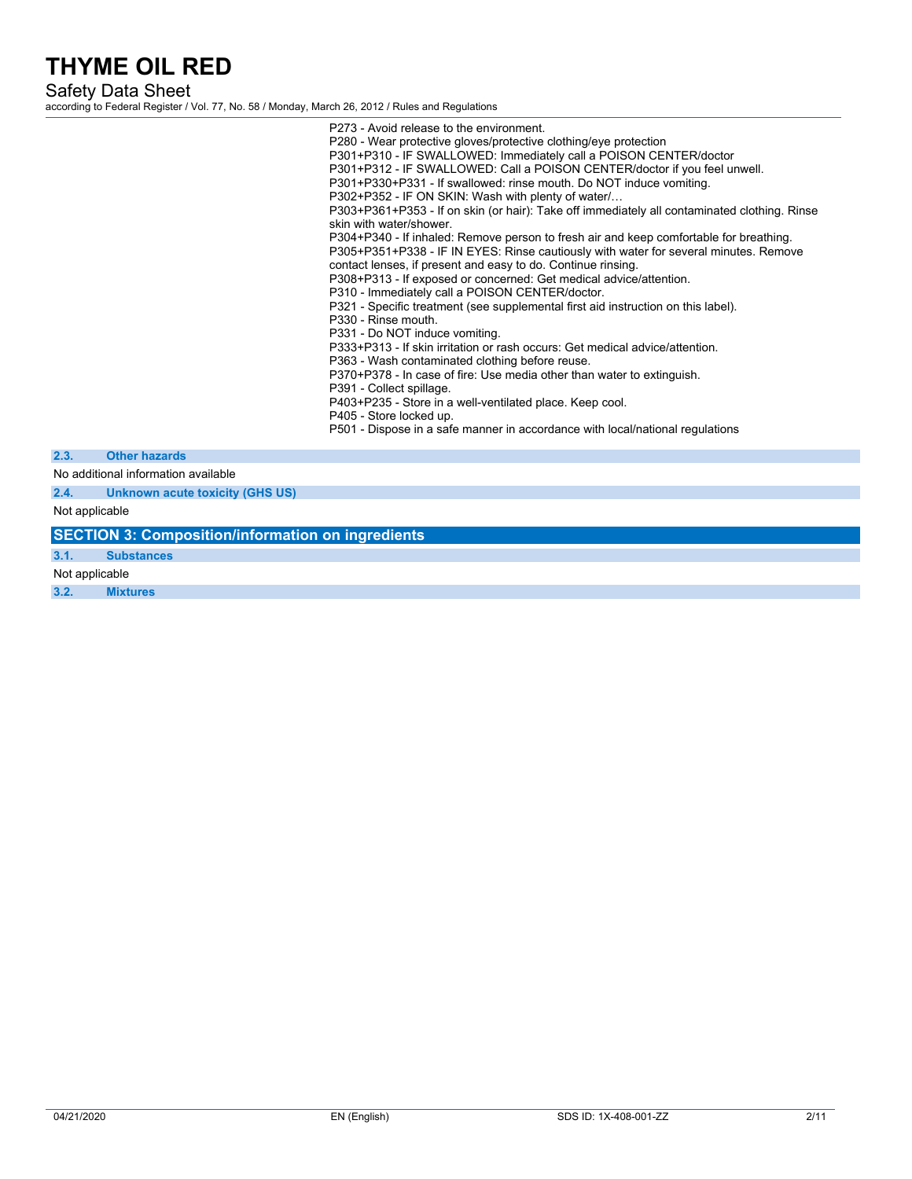Safety Data Sheet

according to Federal Register / Vol. 77, No. 58 / Monday, March 26, 2012 / Rules and Regulations

|                |                                                              | P273 - Avoid release to the environment.<br>P280 - Wear protective gloves/protective clothing/eye protection<br>P301+P310 - IF SWALLOWED: Immediately call a POISON CENTER/doctor<br>P301+P312 - IF SWALLOWED: Call a POISON CENTER/doctor if you feel unwell.<br>P301+P330+P331 - If swallowed: rinse mouth. Do NOT induce vomiting.<br>P302+P352 - IF ON SKIN: Wash with plenty of water/<br>P303+P361+P353 - If on skin (or hair): Take off immediately all contaminated clothing. Rinse<br>skin with water/shower.<br>P304+P340 - If inhaled: Remove person to fresh air and keep comfortable for breathing.<br>P305+P351+P338 - IF IN EYES: Rinse cautiously with water for several minutes. Remove<br>contact lenses, if present and easy to do. Continue rinsing.<br>P308+P313 - If exposed or concerned: Get medical advice/attention.<br>P310 - Immediately call a POISON CENTER/doctor.<br>P321 - Specific treatment (see supplemental first aid instruction on this label).<br>P330 - Rinse mouth.<br>P331 - Do NOT induce vomiting.<br>P333+P313 - If skin irritation or rash occurs: Get medical advice/attention.<br>P363 - Wash contaminated clothing before reuse.<br>P370+P378 - In case of fire: Use media other than water to extinguish.<br>P391 - Collect spillage.<br>P403+P235 - Store in a well-ventilated place. Keep cool.<br>P405 - Store locked up.<br>P501 - Dispose in a safe manner in accordance with local/national regulations |
|----------------|--------------------------------------------------------------|------------------------------------------------------------------------------------------------------------------------------------------------------------------------------------------------------------------------------------------------------------------------------------------------------------------------------------------------------------------------------------------------------------------------------------------------------------------------------------------------------------------------------------------------------------------------------------------------------------------------------------------------------------------------------------------------------------------------------------------------------------------------------------------------------------------------------------------------------------------------------------------------------------------------------------------------------------------------------------------------------------------------------------------------------------------------------------------------------------------------------------------------------------------------------------------------------------------------------------------------------------------------------------------------------------------------------------------------------------------------------------------------------------------------------------------------------------------|
| 2.3.           | <b>Other hazards</b>                                         |                                                                                                                                                                                                                                                                                                                                                                                                                                                                                                                                                                                                                                                                                                                                                                                                                                                                                                                                                                                                                                                                                                                                                                                                                                                                                                                                                                                                                                                                  |
|                | No additional information available                          |                                                                                                                                                                                                                                                                                                                                                                                                                                                                                                                                                                                                                                                                                                                                                                                                                                                                                                                                                                                                                                                                                                                                                                                                                                                                                                                                                                                                                                                                  |
| 2.4.           | <b>Unknown acute toxicity (GHS US)</b>                       |                                                                                                                                                                                                                                                                                                                                                                                                                                                                                                                                                                                                                                                                                                                                                                                                                                                                                                                                                                                                                                                                                                                                                                                                                                                                                                                                                                                                                                                                  |
| Not applicable |                                                              |                                                                                                                                                                                                                                                                                                                                                                                                                                                                                                                                                                                                                                                                                                                                                                                                                                                                                                                                                                                                                                                                                                                                                                                                                                                                                                                                                                                                                                                                  |
|                | <b>CECTION</b> 2. Commonition linformation on increalization |                                                                                                                                                                                                                                                                                                                                                                                                                                                                                                                                                                                                                                                                                                                                                                                                                                                                                                                                                                                                                                                                                                                                                                                                                                                                                                                                                                                                                                                                  |

**SECTION 3: Composition/information on ingredients**

**3.1. Substances** Not applicable

**3.2. Mixtures**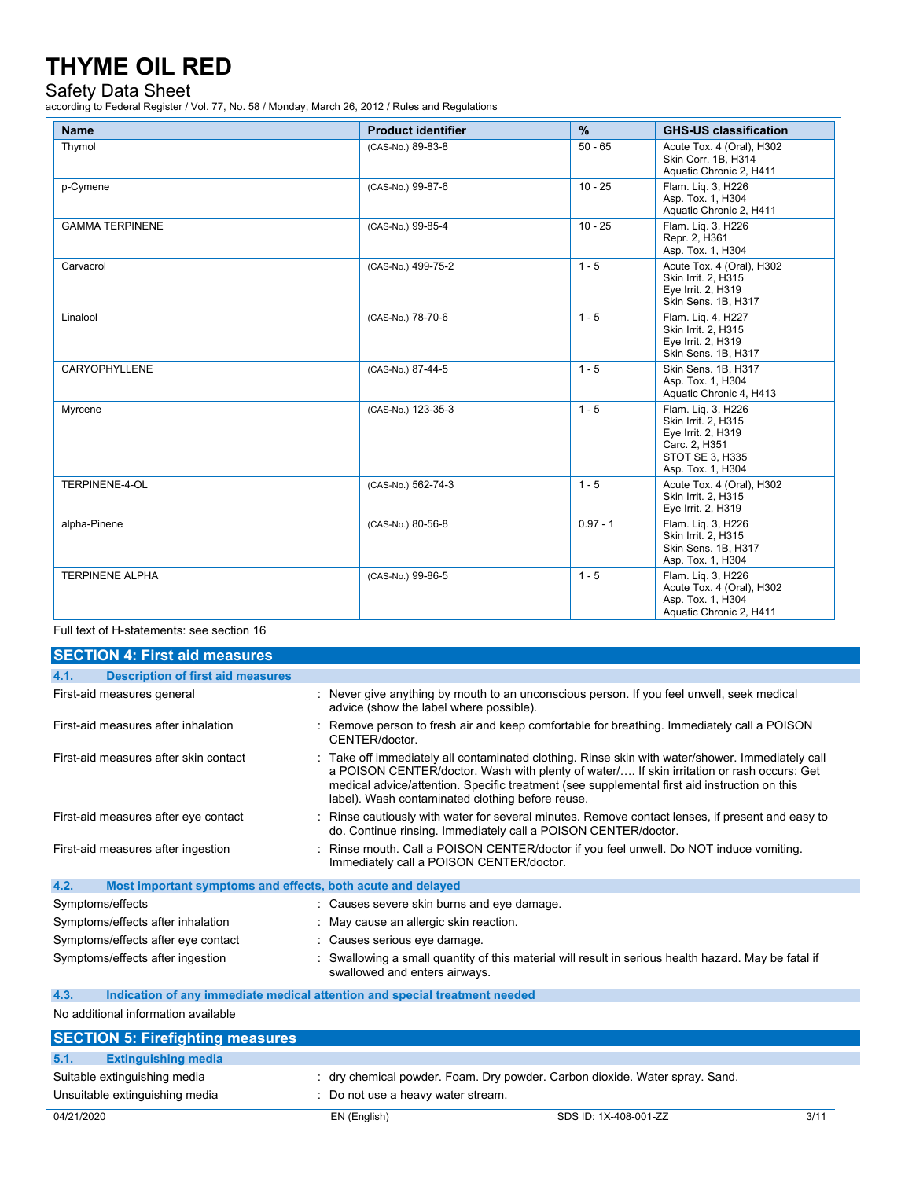### Safety Data Sheet

according to Federal Register / Vol. 77, No. 58 / Monday, March 26, 2012 / Rules and Regulations

| <b>Name</b>            | <b>Product identifier</b> | $\%$       | <b>GHS-US classification</b>                                                                                             |
|------------------------|---------------------------|------------|--------------------------------------------------------------------------------------------------------------------------|
| Thymol                 | (CAS-No.) 89-83-8         | $50 - 65$  | Acute Tox. 4 (Oral), H302<br>Skin Corr. 1B. H314<br>Aquatic Chronic 2, H411                                              |
| p-Cymene               | (CAS-No.) 99-87-6         | $10 - 25$  | Flam. Liq. 3, H226<br>Asp. Tox. 1, H304<br>Aquatic Chronic 2, H411                                                       |
| <b>GAMMA TERPINENE</b> | (CAS-No.) 99-85-4         | $10 - 25$  | Flam. Lig. 3, H226<br>Repr. 2, H361<br>Asp. Tox. 1, H304                                                                 |
| Carvacrol              | (CAS-No.) 499-75-2        | $1 - 5$    | Acute Tox. 4 (Oral), H302<br>Skin Irrit. 2, H315<br>Eye Irrit. 2, H319<br>Skin Sens. 1B, H317                            |
| Linalool               | (CAS-No.) 78-70-6         | $1 - 5$    | Flam. Lig. 4, H227<br>Skin Irrit. 2, H315<br>Eye Irrit. 2, H319<br>Skin Sens. 1B, H317                                   |
| CARYOPHYLLENE          | (CAS-No.) 87-44-5         | $1 - 5$    | Skin Sens. 1B, H317<br>Asp. Tox. 1, H304<br>Aquatic Chronic 4, H413                                                      |
| Myrcene                | (CAS-No.) 123-35-3        | $1 - 5$    | Flam. Lig. 3, H226<br>Skin Irrit. 2, H315<br>Eye Irrit. 2, H319<br>Carc. 2, H351<br>STOT SE 3, H335<br>Asp. Tox. 1, H304 |
| TERPINENE-4-OL         | (CAS-No.) 562-74-3        | $1 - 5$    | Acute Tox. 4 (Oral), H302<br>Skin Irrit. 2, H315<br>Eye Irrit. 2, H319                                                   |
| alpha-Pinene           | (CAS-No.) 80-56-8         | $0.97 - 1$ | Flam. Lig. 3. H226<br>Skin Irrit. 2, H315<br>Skin Sens. 1B, H317<br>Asp. Tox. 1, H304                                    |
| <b>TERPINENE ALPHA</b> | (CAS-No.) 99-86-5         | $1 - 5$    | Flam. Lig. 3, H226<br>Acute Tox. 4 (Oral), H302<br>Asp. Tox. 1, H304<br>Aquatic Chronic 2, H411                          |

#### Full text of H-statements: see section 16

| <b>SECTION 4: First aid measures</b>                                |                                                                                                                                                                                                                                                                                                                                                   |
|---------------------------------------------------------------------|---------------------------------------------------------------------------------------------------------------------------------------------------------------------------------------------------------------------------------------------------------------------------------------------------------------------------------------------------|
| <b>Description of first aid measures</b><br>4.1.                    |                                                                                                                                                                                                                                                                                                                                                   |
| First-aid measures general                                          | : Never give anything by mouth to an unconscious person. If you feel unwell, seek medical<br>advice (show the label where possible).                                                                                                                                                                                                              |
| First-aid measures after inhalation                                 | : Remove person to fresh air and keep comfortable for breathing. Immediately call a POISON<br>CENTER/doctor                                                                                                                                                                                                                                       |
| First-aid measures after skin contact                               | : Take off immediately all contaminated clothing. Rinse skin with water/shower. Immediately call<br>a POISON CENTER/doctor. Wash with plenty of water/ If skin irritation or rash occurs: Get<br>medical advice/attention. Specific treatment (see supplemental first aid instruction on this<br>label). Wash contaminated clothing before reuse. |
| First-aid measures after eye contact                                | : Rinse cautiously with water for several minutes. Remove contact lenses, if present and easy to<br>do. Continue rinsing. Immediately call a POISON CENTER/doctor.                                                                                                                                                                                |
| First-aid measures after ingestion                                  | : Rinse mouth. Call a POISON CENTER/doctor if you feel unwell. Do NOT induce vomiting.<br>Immediately call a POISON CENTER/doctor.                                                                                                                                                                                                                |
| 4.2.<br>Most important symptoms and effects, both acute and delayed |                                                                                                                                                                                                                                                                                                                                                   |
| Symptoms/effects                                                    | : Causes severe skin burns and eye damage.                                                                                                                                                                                                                                                                                                        |
| Symptoms/effects after inhalation                                   | : May cause an allergic skin reaction.                                                                                                                                                                                                                                                                                                            |
| Symptoms/effects after eye contact                                  | : Causes serious eye damage.                                                                                                                                                                                                                                                                                                                      |
| Symptoms/effects after ingestion                                    | : Swallowing a small quantity of this material will result in serious health hazard. May be fatal if<br>swallowed and enters airways.                                                                                                                                                                                                             |

#### **4.3. Indication of any immediate medical attention and special treatment needed**

No additional information available

|      | <b>SECTION 5: Firefighting measures</b> |                                                                             |
|------|-----------------------------------------|-----------------------------------------------------------------------------|
| 5.1. | <b>Extinguishing media</b>              |                                                                             |
|      | Suitable extinguishing media            | : dry chemical powder. Foam. Dry powder. Carbon dioxide. Water spray. Sand. |
|      | Unsuitable extinguishing media          | : Do not use a heavy water stream.                                          |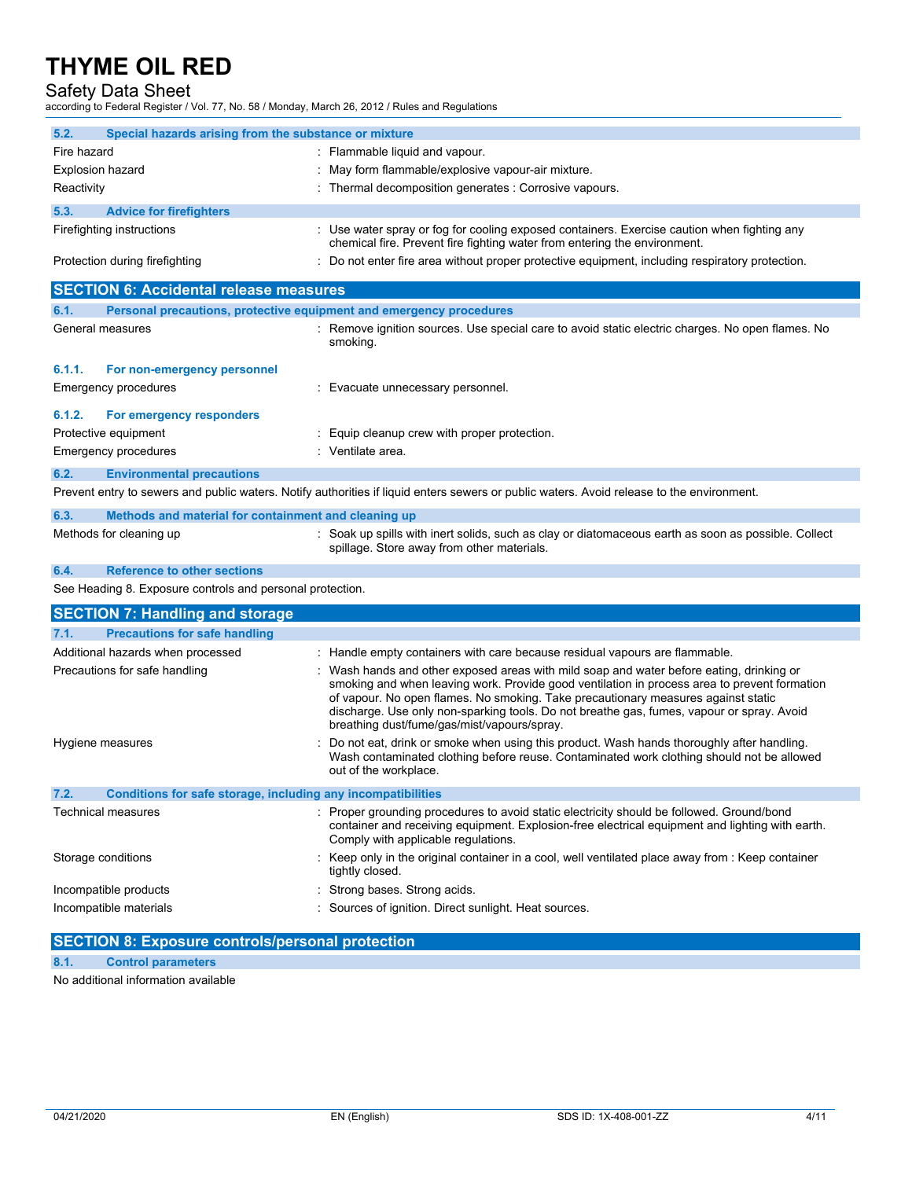### Safety Data Sheet

according to Federal Register / Vol. 77, No. 58 / Monday, March 26, 2012 / Rules and Regulations

| 5.2.                                                                 | Special hazards arising from the substance or mixture               |                                                                                                                                                                                                                                                                                                                                                                                                                           |
|----------------------------------------------------------------------|---------------------------------------------------------------------|---------------------------------------------------------------------------------------------------------------------------------------------------------------------------------------------------------------------------------------------------------------------------------------------------------------------------------------------------------------------------------------------------------------------------|
| Fire hazard                                                          |                                                                     | : Flammable liquid and vapour.                                                                                                                                                                                                                                                                                                                                                                                            |
| Explosion hazard                                                     |                                                                     | : May form flammable/explosive vapour-air mixture.                                                                                                                                                                                                                                                                                                                                                                        |
| Reactivity                                                           |                                                                     | : Thermal decomposition generates : Corrosive vapours.                                                                                                                                                                                                                                                                                                                                                                    |
| 5.3.                                                                 | <b>Advice for firefighters</b>                                      |                                                                                                                                                                                                                                                                                                                                                                                                                           |
|                                                                      | Firefighting instructions                                           | : Use water spray or fog for cooling exposed containers. Exercise caution when fighting any<br>chemical fire. Prevent fire fighting water from entering the environment.                                                                                                                                                                                                                                                  |
|                                                                      | Protection during firefighting                                      | : Do not enter fire area without proper protective equipment, including respiratory protection.                                                                                                                                                                                                                                                                                                                           |
|                                                                      | <b>SECTION 6: Accidental release measures</b>                       |                                                                                                                                                                                                                                                                                                                                                                                                                           |
| 6.1.                                                                 | Personal precautions, protective equipment and emergency procedures |                                                                                                                                                                                                                                                                                                                                                                                                                           |
|                                                                      | General measures                                                    | : Remove ignition sources. Use special care to avoid static electric charges. No open flames. No<br>smoking.                                                                                                                                                                                                                                                                                                              |
| 6.1.1.                                                               | For non-emergency personnel                                         |                                                                                                                                                                                                                                                                                                                                                                                                                           |
|                                                                      | <b>Emergency procedures</b>                                         | : Evacuate unnecessary personnel.                                                                                                                                                                                                                                                                                                                                                                                         |
| 6.1.2.                                                               | For emergency responders                                            |                                                                                                                                                                                                                                                                                                                                                                                                                           |
|                                                                      | Protective equipment                                                | : Equip cleanup crew with proper protection.                                                                                                                                                                                                                                                                                                                                                                              |
|                                                                      | Emergency procedures                                                | : Ventilate area.                                                                                                                                                                                                                                                                                                                                                                                                         |
| 6.2.                                                                 | <b>Environmental precautions</b>                                    |                                                                                                                                                                                                                                                                                                                                                                                                                           |
|                                                                      |                                                                     | Prevent entry to sewers and public waters. Notify authorities if liquid enters sewers or public waters. Avoid release to the environment.                                                                                                                                                                                                                                                                                 |
| 6.3.                                                                 | Methods and material for containment and cleaning up                |                                                                                                                                                                                                                                                                                                                                                                                                                           |
|                                                                      | Methods for cleaning up                                             | : Soak up spills with inert solids, such as clay or diatomaceous earth as soon as possible. Collect<br>spillage. Store away from other materials.                                                                                                                                                                                                                                                                         |
| 6.4.                                                                 | <b>Reference to other sections</b>                                  |                                                                                                                                                                                                                                                                                                                                                                                                                           |
|                                                                      | See Heading 8. Exposure controls and personal protection.           |                                                                                                                                                                                                                                                                                                                                                                                                                           |
|                                                                      | <b>SECTION 7: Handling and storage</b>                              |                                                                                                                                                                                                                                                                                                                                                                                                                           |
| 7.1.                                                                 | <b>Precautions for safe handling</b>                                |                                                                                                                                                                                                                                                                                                                                                                                                                           |
|                                                                      | Additional hazards when processed                                   | : Handle empty containers with care because residual vapours are flammable.                                                                                                                                                                                                                                                                                                                                               |
|                                                                      | Precautions for safe handling                                       | : Wash hands and other exposed areas with mild soap and water before eating, drinking or<br>smoking and when leaving work. Provide good ventilation in process area to prevent formation<br>of vapour. No open flames. No smoking. Take precautionary measures against static<br>discharge. Use only non-sparking tools. Do not breathe gas, fumes, vapour or spray. Avoid<br>breathing dust/fume/gas/mist/vapours/spray. |
|                                                                      | Hygiene measures                                                    | Do not eat, drink or smoke when using this product. Wash hands thoroughly after handling.<br>Wash contaminated clothing before reuse. Contaminated work clothing should not be allowed<br>out of the workplace.                                                                                                                                                                                                           |
| 7.2.<br>Conditions for safe storage, including any incompatibilities |                                                                     |                                                                                                                                                                                                                                                                                                                                                                                                                           |
|                                                                      | Technical measures                                                  | : Proper grounding procedures to avoid static electricity should be followed. Ground/bond<br>container and receiving equipment. Explosion-free electrical equipment and lighting with earth.<br>Comply with applicable regulations.                                                                                                                                                                                       |
|                                                                      | Storage conditions                                                  | : Keep only in the original container in a cool, well ventilated place away from : Keep container<br>tightly closed.                                                                                                                                                                                                                                                                                                      |
|                                                                      | Incompatible products                                               | : Strong bases. Strong acids.                                                                                                                                                                                                                                                                                                                                                                                             |
|                                                                      | Incompatible materials                                              | : Sources of ignition. Direct sunlight. Heat sources.                                                                                                                                                                                                                                                                                                                                                                     |

## **SECTION 8: Exposure controls/personal protection**

#### **8.1. Control parameters**

No additional information available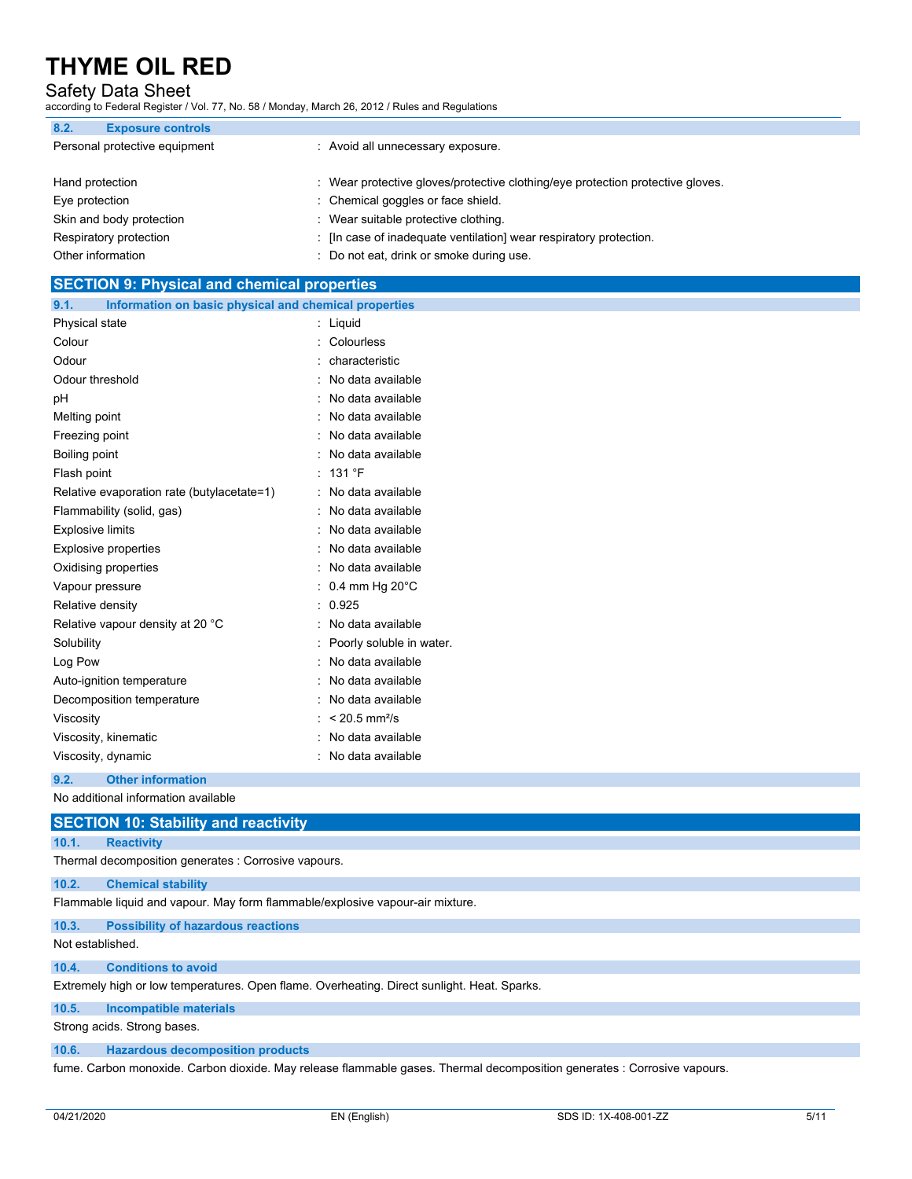### Safety Data Sheet

according to Federal Register / Vol. 77, No. 58 / Monday, March 26, 2012 / Rules and Regulations

| 8.2.              | <b>Exposure controls</b>      |                                                                                |
|-------------------|-------------------------------|--------------------------------------------------------------------------------|
|                   | Personal protective equipment | : Avoid all unnecessary exposure.                                              |
| Hand protection   |                               | : Wear protective gloves/protective clothing/eye protection protective gloves. |
| Eye protection    |                               | : Chemical goggles or face shield.                                             |
|                   | Skin and body protection      | : Wear suitable protective clothing.                                           |
|                   | Respiratory protection        | : [In case of inadequate ventilation] wear respiratory protection.             |
| Other information |                               | : Do not eat, drink or smoke during use.                                       |

## **SECTION 9: Physical and chemical properties 9.1. Information on basic physical and chemical properties** Physical state : Liquid Colour : Colourless Odour : characteristic Odour threshold **in the set of the set of the set of the set of the set of the set of the set of the set of the set of the set of the set of the set of the set of the set of the set of the set of the set of the set of the** pH : No data available Melting point **in the case of the case of the case of the case of the case of the case of the case of the case of the case of the case of the case of the case of the case of the case of the case of the case of the case of** Freezing point **in the case of the Contract Contract Contract Contract Contract Contract Contract Contract Contract Contract Contract Contract Contract Contract Contract Contract Contract Contract Contract Contract Contrac** Boiling point : No data available Flash point : 131 °F Relative evaporation rate (butylacetate=1) : No data available Flammability (solid, gas) : No data available Explosive limits **Explosive** limits **Explosive limits** and  $\blacksquare$  **No data available** Explosive properties **in the set of the COV** No data available Oxidising properties **in the Community Community** Contract and Community Contract and Community Community Community Community Community Community Community Community Community Community Community Community Community Commun Vapour pressure  $\cdot$  0.4 mm Hg 20°C Relative density in the set of the contract of the Relative density in the contract of the contract of the contract of the contract of the contract of the contract of the contract of the contract of the contract of the con Relative vapour density at 20 °C : No data available Solubility : Poorly soluble in water. Log Pow **:** No data available Auto-ignition temperature **interest and the Contract Contract Auto-** : No data available Decomposition temperature **interest and the Composition temperature** : No data available Viscosity : < 20.5 mm<sup>2</sup>/s Viscosity, kinematic **intervalse in the Contract Contract Contract Contract Contract Contract Contract Contract Contract Contract Contract Contract Contract Contract Contract Contract Contract Contract Contract Contract Co** Viscosity, dynamic **intervalse in the Contract of Contract Available** : No data available

#### **9.2. Other information**

No additional information available

### **SECTION 10: Stability and reactivity**

#### **10.1. Reactivity**

Thermal decomposition generates : Corrosive vapours.

#### **10.2. Chemical stability**

Flammable liquid and vapour. May form flammable/explosive vapour-air mixture.

#### **10.3. Possibility of hazardous reactions**

Not established.

#### **10.4. Conditions to avoid**

Extremely high or low temperatures. Open flame. Overheating. Direct sunlight. Heat. Sparks.

#### **10.5. Incompatible materials**

Strong acids. Strong bases.

#### **10.6. Hazardous decomposition products**

fume. Carbon monoxide. Carbon dioxide. May release flammable gases. Thermal decomposition generates : Corrosive vapours.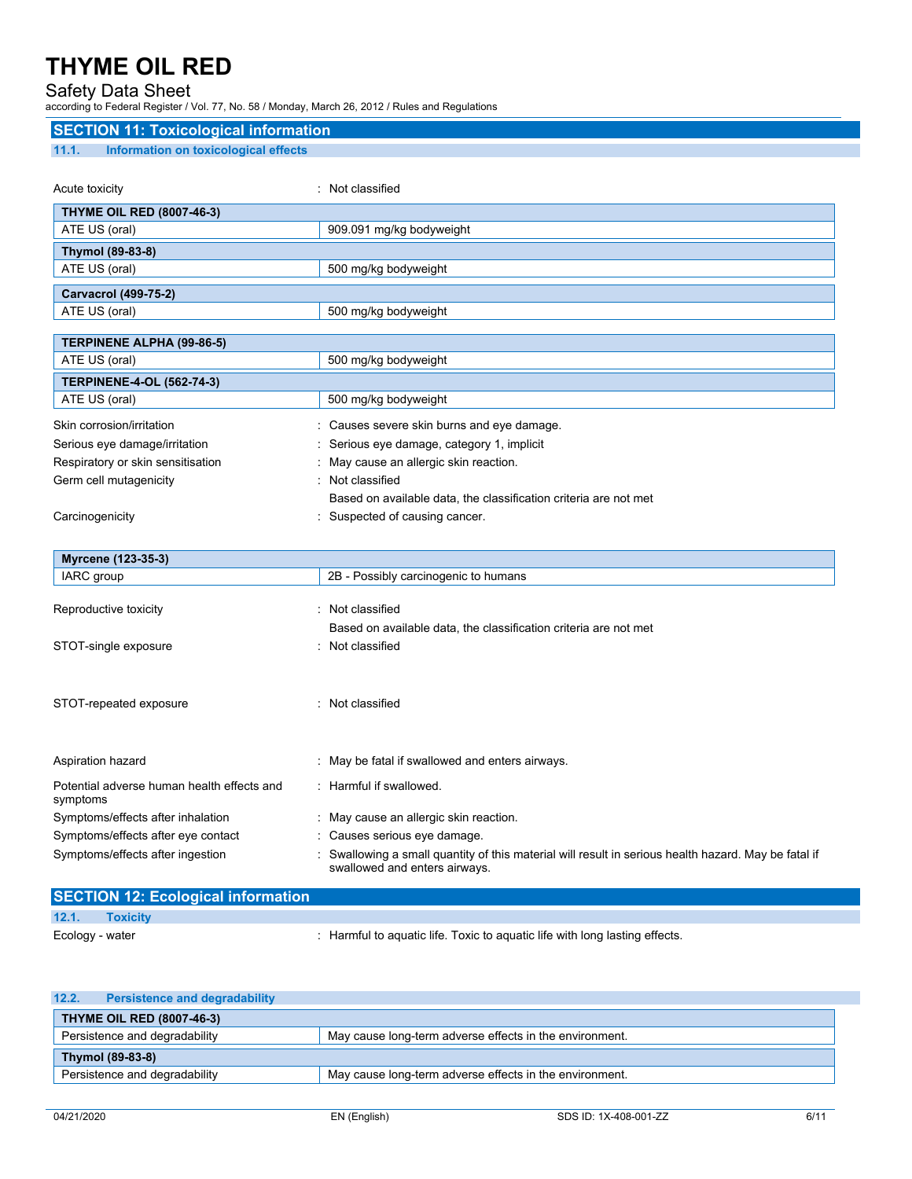## Safety Data Sheet

according to Federal Register / Vol. 77, No. 58 / Monday, March 26, 2012 / Rules and Regulations

| <b>SECTION 11: Toxicological information</b>  |                                                                                                                                     |  |
|-----------------------------------------------|-------------------------------------------------------------------------------------------------------------------------------------|--|
| 11.1.<br>Information on toxicological effects |                                                                                                                                     |  |
|                                               |                                                                                                                                     |  |
| Acute toxicity                                | : Not classified                                                                                                                    |  |
| <b>THYME OIL RED (8007-46-3)</b>              |                                                                                                                                     |  |
| ATE US (oral)                                 | 909.091 mg/kg bodyweight                                                                                                            |  |
| Thymol (89-83-8)                              |                                                                                                                                     |  |
| ATE US (oral)                                 | 500 mg/kg bodyweight                                                                                                                |  |
| Carvacrol (499-75-2)                          |                                                                                                                                     |  |
| ATE US (oral)                                 | 500 mg/kg bodyweight                                                                                                                |  |
|                                               |                                                                                                                                     |  |
| <b>TERPINENE ALPHA (99-86-5)</b>              |                                                                                                                                     |  |
| ATE US (oral)                                 | 500 mg/kg bodyweight                                                                                                                |  |
| <b>TERPINENE-4-OL (562-74-3)</b>              |                                                                                                                                     |  |
| ATE US (oral)                                 | 500 mg/kg bodyweight                                                                                                                |  |
| Skin corrosion/irritation                     | : Causes severe skin burns and eye damage.                                                                                          |  |
| Serious eye damage/irritation                 | Serious eye damage, category 1, implicit                                                                                            |  |
| Respiratory or skin sensitisation             | May cause an allergic skin reaction.                                                                                                |  |
| Germ cell mutagenicity                        | : Not classified                                                                                                                    |  |
|                                               | Based on available data, the classification criteria are not met                                                                    |  |
| Carcinogenicity                               | : Suspected of causing cancer.                                                                                                      |  |
|                                               |                                                                                                                                     |  |
| Myrcene (123-35-3)                            |                                                                                                                                     |  |
| IARC group                                    | 2B - Possibly carcinogenic to humans                                                                                                |  |
|                                               |                                                                                                                                     |  |
| Reproductive toxicity                         | : Not classified                                                                                                                    |  |
|                                               | Based on available data, the classification criteria are not met                                                                    |  |
| STOT-single exposure                          | : Not classified                                                                                                                    |  |
|                                               |                                                                                                                                     |  |
|                                               |                                                                                                                                     |  |
| STOT-repeated exposure                        | : Not classified                                                                                                                    |  |
|                                               |                                                                                                                                     |  |
|                                               |                                                                                                                                     |  |
| Aspiration hazard                             | : May be fatal if swallowed and enters airways.                                                                                     |  |
| Potential adverse human health effects and    | : Harmful if swallowed.                                                                                                             |  |
| symptoms                                      |                                                                                                                                     |  |
| Symptoms/effects after inhalation             | : May cause an allergic skin reaction.                                                                                              |  |
| Symptoms/effects after eye contact            | Causes serious eye damage.                                                                                                          |  |
| Symptoms/effects after ingestion              | Swallowing a small quantity of this material will result in serious health hazard. May be fatal if<br>swallowed and enters airways. |  |

|                 | <b>SECTION 12: Ecological information</b> |                                                                             |
|-----------------|-------------------------------------------|-----------------------------------------------------------------------------|
| 12.1.           | <b>Toxicity</b>                           |                                                                             |
| Ecology - water |                                           | : Harmful to aquatic life. Toxic to aquatic life with long lasting effects. |

| 12.2. | <b>Persistence and degradability</b> |                                                         |
|-------|--------------------------------------|---------------------------------------------------------|
|       | <b>THYME OIL RED (8007-46-3)</b>     |                                                         |
|       | Persistence and degradability        | May cause long-term adverse effects in the environment. |
|       | Thymol (89-83-8)                     |                                                         |
|       | Persistence and degradability        | May cause long-term adverse effects in the environment. |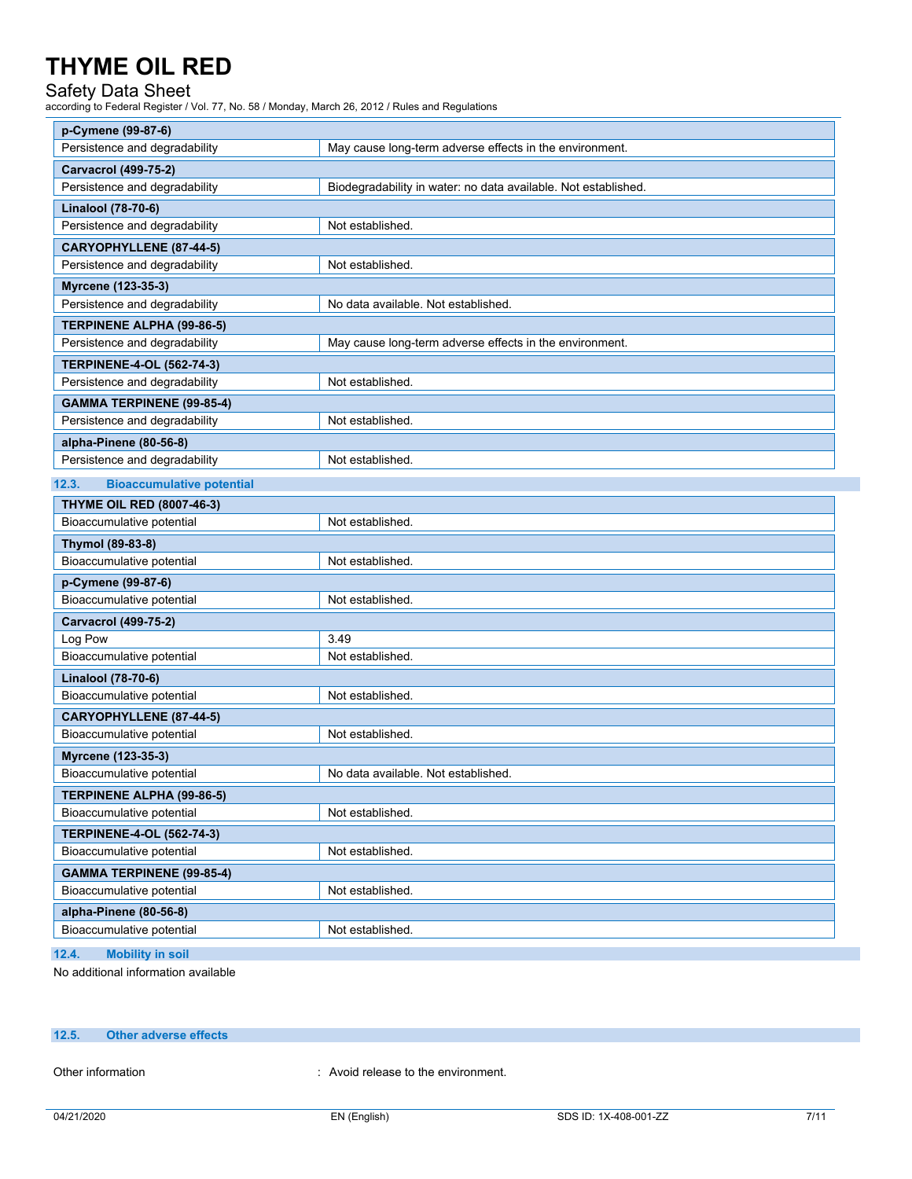## Safety Data Sheet

according to Federal Register / Vol. 77, No. 58 / Monday, March 26, 2012 / Rules and Regulations

| p-Cymene (99-87-6)                        |                                                                |
|-------------------------------------------|----------------------------------------------------------------|
| Persistence and degradability             | May cause long-term adverse effects in the environment.        |
| <b>Carvacrol (499-75-2)</b>               |                                                                |
| Persistence and degradability             | Biodegradability in water: no data available. Not established. |
| Linalool (78-70-6)                        |                                                                |
| Persistence and degradability             | Not established.                                               |
| CARYOPHYLLENE (87-44-5)                   |                                                                |
| Persistence and degradability             | Not established.                                               |
| Myrcene (123-35-3)                        |                                                                |
| Persistence and degradability             | No data available. Not established.                            |
| <b>TERPINENE ALPHA (99-86-5)</b>          |                                                                |
| Persistence and degradability             | May cause long-term adverse effects in the environment.        |
| <b>TERPINENE-4-OL (562-74-3)</b>          |                                                                |
| Persistence and degradability             | Not established.                                               |
| <b>GAMMA TERPINENE (99-85-4)</b>          |                                                                |
| Persistence and degradability             | Not established.                                               |
| alpha-Pinene (80-56-8)                    |                                                                |
| Persistence and degradability             | Not established.                                               |
| 12.3.<br><b>Bioaccumulative potential</b> |                                                                |
| <b>THYME OIL RED (8007-46-3)</b>          |                                                                |
| Bioaccumulative potential                 | Not established.                                               |
| Thymol (89-83-8)                          |                                                                |
| Bioaccumulative potential                 | Not established.                                               |
| p-Cymene (99-87-6)                        |                                                                |
| Bioaccumulative potential                 | Not established.                                               |
| <b>Carvacrol (499-75-2)</b>               |                                                                |
| Log Pow                                   | 3.49                                                           |
| Bioaccumulative potential                 | Not established.                                               |
| Linalool (78-70-6)                        |                                                                |
| Bioaccumulative potential                 | Not established.                                               |
| CARYOPHYLLENE (87-44-5)                   |                                                                |
| Bioaccumulative potential                 | Not established.                                               |
| Myrcene (123-35-3)                        |                                                                |
| Bioaccumulative potential                 | No data available. Not established.                            |
| <b>TERPINENE ALPHA (99-86-5)</b>          |                                                                |
| Bioaccumulative potential                 | Not established.                                               |
| <b>TERPINENE-4-OL (562-74-3)</b>          |                                                                |
| Bioaccumulative potential                 | Not established.                                               |
| <b>GAMMA TERPINENE (99-85-4)</b>          |                                                                |
| Bioaccumulative potential                 | Not established.                                               |
| alpha-Pinene (80-56-8)                    |                                                                |
| Bioaccumulative potential                 | Not established.                                               |
| 12.4.<br><b>Mobility in soil</b>          |                                                                |

No additional information available

#### **12.5. Other adverse effects**

Other information **contact to the environment.** : Avoid release to the environment.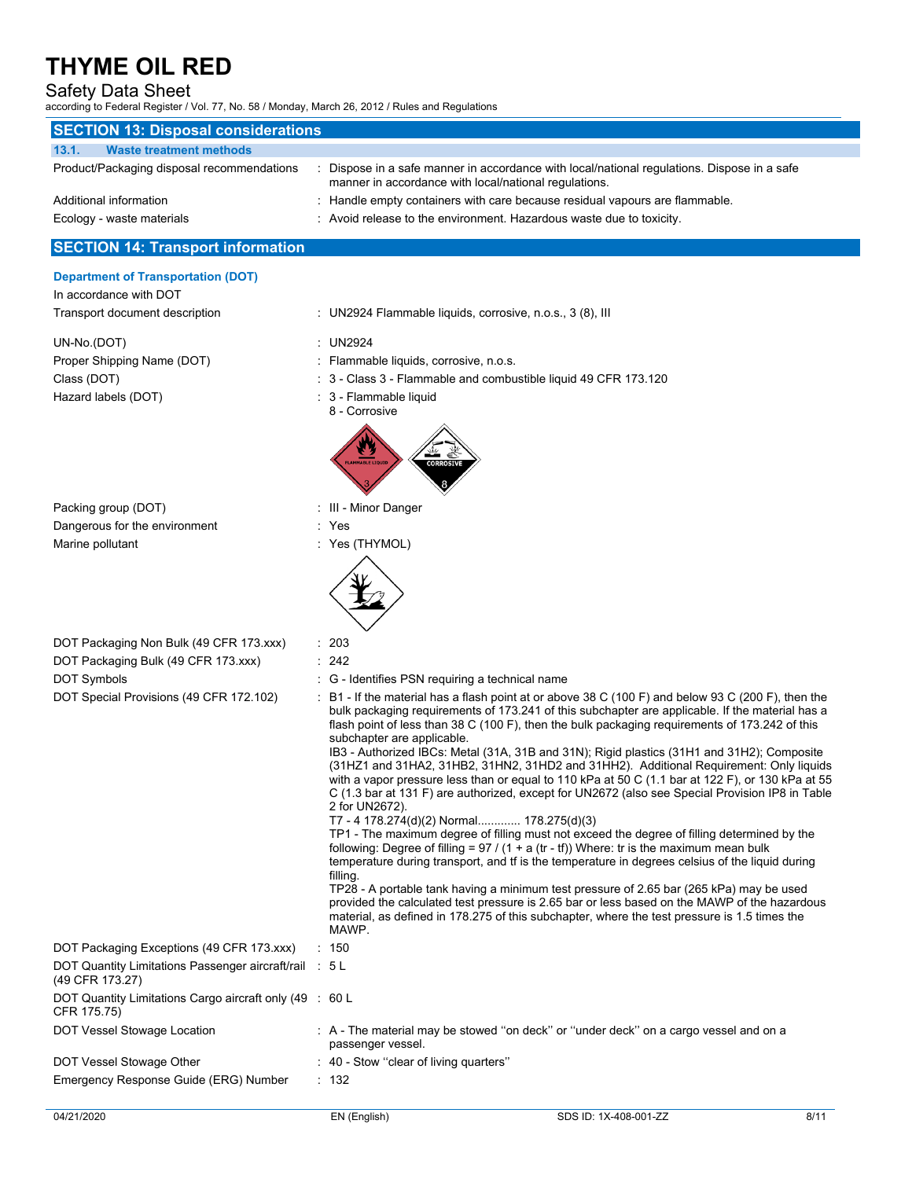## Safety Data Sheet

according to Federal Register / Vol. 77, No. 58 / Monday, March 26, 2012 / Rules and Regulations

| <b>SECTION 13: Disposal considerations</b>                                                                                               |                                                                                                                                                                                                                                                                                                                                                                                                                                                                                                                                                                                                                                                                                                                                                                                                                                                                                                                                                                                                                                                                                                                                                                                                                                                                                                                                                                                                                                                                                               |
|------------------------------------------------------------------------------------------------------------------------------------------|-----------------------------------------------------------------------------------------------------------------------------------------------------------------------------------------------------------------------------------------------------------------------------------------------------------------------------------------------------------------------------------------------------------------------------------------------------------------------------------------------------------------------------------------------------------------------------------------------------------------------------------------------------------------------------------------------------------------------------------------------------------------------------------------------------------------------------------------------------------------------------------------------------------------------------------------------------------------------------------------------------------------------------------------------------------------------------------------------------------------------------------------------------------------------------------------------------------------------------------------------------------------------------------------------------------------------------------------------------------------------------------------------------------------------------------------------------------------------------------------------|
| 13.1.<br><b>Waste treatment methods</b>                                                                                                  |                                                                                                                                                                                                                                                                                                                                                                                                                                                                                                                                                                                                                                                                                                                                                                                                                                                                                                                                                                                                                                                                                                                                                                                                                                                                                                                                                                                                                                                                                               |
| Product/Packaging disposal recommendations                                                                                               | : Dispose in a safe manner in accordance with local/national regulations. Dispose in a safe<br>manner in accordance with local/national regulations.                                                                                                                                                                                                                                                                                                                                                                                                                                                                                                                                                                                                                                                                                                                                                                                                                                                                                                                                                                                                                                                                                                                                                                                                                                                                                                                                          |
| Additional information                                                                                                                   | Handle empty containers with care because residual vapours are flammable.                                                                                                                                                                                                                                                                                                                                                                                                                                                                                                                                                                                                                                                                                                                                                                                                                                                                                                                                                                                                                                                                                                                                                                                                                                                                                                                                                                                                                     |
| Ecology - waste materials                                                                                                                | : Avoid release to the environment. Hazardous waste due to toxicity.                                                                                                                                                                                                                                                                                                                                                                                                                                                                                                                                                                                                                                                                                                                                                                                                                                                                                                                                                                                                                                                                                                                                                                                                                                                                                                                                                                                                                          |
| <b>SECTION 14: Transport information</b>                                                                                                 |                                                                                                                                                                                                                                                                                                                                                                                                                                                                                                                                                                                                                                                                                                                                                                                                                                                                                                                                                                                                                                                                                                                                                                                                                                                                                                                                                                                                                                                                                               |
| <b>Department of Transportation (DOT)</b><br>In accordance with DOT<br>Transport document description                                    | : UN2924 Flammable liquids, corrosive, n.o.s., 3 (8), III                                                                                                                                                                                                                                                                                                                                                                                                                                                                                                                                                                                                                                                                                                                                                                                                                                                                                                                                                                                                                                                                                                                                                                                                                                                                                                                                                                                                                                     |
| UN-No.(DOT)<br>Proper Shipping Name (DOT)<br>Class (DOT)<br>Hazard labels (DOT)                                                          | : UN2924<br>Flammable liquids, corrosive, n.o.s.<br>3 - Class 3 - Flammable and combustible liquid 49 CFR 173.120<br>3 - Flammable liquid<br>8 - Corrosive<br><b>CORROSIVE</b>                                                                                                                                                                                                                                                                                                                                                                                                                                                                                                                                                                                                                                                                                                                                                                                                                                                                                                                                                                                                                                                                                                                                                                                                                                                                                                                |
| Packing group (DOT)<br>Dangerous for the environment<br>Marine pollutant                                                                 | : III - Minor Danger<br>: Yes<br>: Yes (THYMOL)                                                                                                                                                                                                                                                                                                                                                                                                                                                                                                                                                                                                                                                                                                                                                                                                                                                                                                                                                                                                                                                                                                                                                                                                                                                                                                                                                                                                                                               |
| DOT Packaging Non Bulk (49 CFR 173.xxx)<br>DOT Packaging Bulk (49 CFR 173.xxx)<br>DOT Symbols<br>DOT Special Provisions (49 CFR 172.102) | : 203<br>: 242<br>: G - Identifies PSN requiring a technical name<br>$\div$ B1 - If the material has a flash point at or above 38 C (100 F) and below 93 C (200 F), then the<br>bulk packaging requirements of 173.241 of this subchapter are applicable. If the material has a<br>flash point of less than 38 C (100 F), then the bulk packaging requirements of 173.242 of this<br>subchapter are applicable.<br>IB3 - Authorized IBCs: Metal (31A, 31B and 31N); Rigid plastics (31H1 and 31H2); Composite<br>(31HZ1 and 31HA2, 31HB2, 31HN2, 31HD2 and 31HH2). Additional Requirement: Only liquids<br>with a vapor pressure less than or equal to 110 kPa at 50 C (1.1 bar at 122 F), or 130 kPa at 55<br>C (1.3 bar at 131 F) are authorized, except for UN2672 (also see Special Provision IP8 in Table<br>2 for UN2672).<br>T7 - 4 178.274(d)(2) Normal 178.275(d)(3)<br>TP1 - The maximum degree of filling must not exceed the degree of filling determined by the<br>following: Degree of filling = $97 / (1 + a (tr - tf))$ Where: tr is the maximum mean bulk<br>temperature during transport, and if is the temperature in degrees celsius of the liquid during<br>filling.<br>TP28 - A portable tank having a minimum test pressure of 2.65 bar (265 kPa) may be used<br>provided the calculated test pressure is 2.65 bar or less based on the MAWP of the hazardous<br>material, as defined in 178.275 of this subchapter, where the test pressure is 1.5 times the<br>MAWP. |
| DOT Packaging Exceptions (49 CFR 173.xxx)                                                                                                | : 150                                                                                                                                                                                                                                                                                                                                                                                                                                                                                                                                                                                                                                                                                                                                                                                                                                                                                                                                                                                                                                                                                                                                                                                                                                                                                                                                                                                                                                                                                         |
| DOT Quantity Limitations Passenger aircraft/rail : 5 L<br>(49 CFR 173.27)                                                                |                                                                                                                                                                                                                                                                                                                                                                                                                                                                                                                                                                                                                                                                                                                                                                                                                                                                                                                                                                                                                                                                                                                                                                                                                                                                                                                                                                                                                                                                                               |
| DOT Quantity Limitations Cargo aircraft only (49 : 60 L<br>CFR 175.75)                                                                   |                                                                                                                                                                                                                                                                                                                                                                                                                                                                                                                                                                                                                                                                                                                                                                                                                                                                                                                                                                                                                                                                                                                                                                                                                                                                                                                                                                                                                                                                                               |
| DOT Vessel Stowage Location                                                                                                              | : A - The material may be stowed "on deck" or "under deck" on a cargo vessel and on a<br>passenger vessel.                                                                                                                                                                                                                                                                                                                                                                                                                                                                                                                                                                                                                                                                                                                                                                                                                                                                                                                                                                                                                                                                                                                                                                                                                                                                                                                                                                                    |
| DOT Vessel Stowage Other                                                                                                                 | : 40 - Stow "clear of living quarters"                                                                                                                                                                                                                                                                                                                                                                                                                                                                                                                                                                                                                                                                                                                                                                                                                                                                                                                                                                                                                                                                                                                                                                                                                                                                                                                                                                                                                                                        |
| Emergency Response Guide (ERG) Number                                                                                                    | : 132                                                                                                                                                                                                                                                                                                                                                                                                                                                                                                                                                                                                                                                                                                                                                                                                                                                                                                                                                                                                                                                                                                                                                                                                                                                                                                                                                                                                                                                                                         |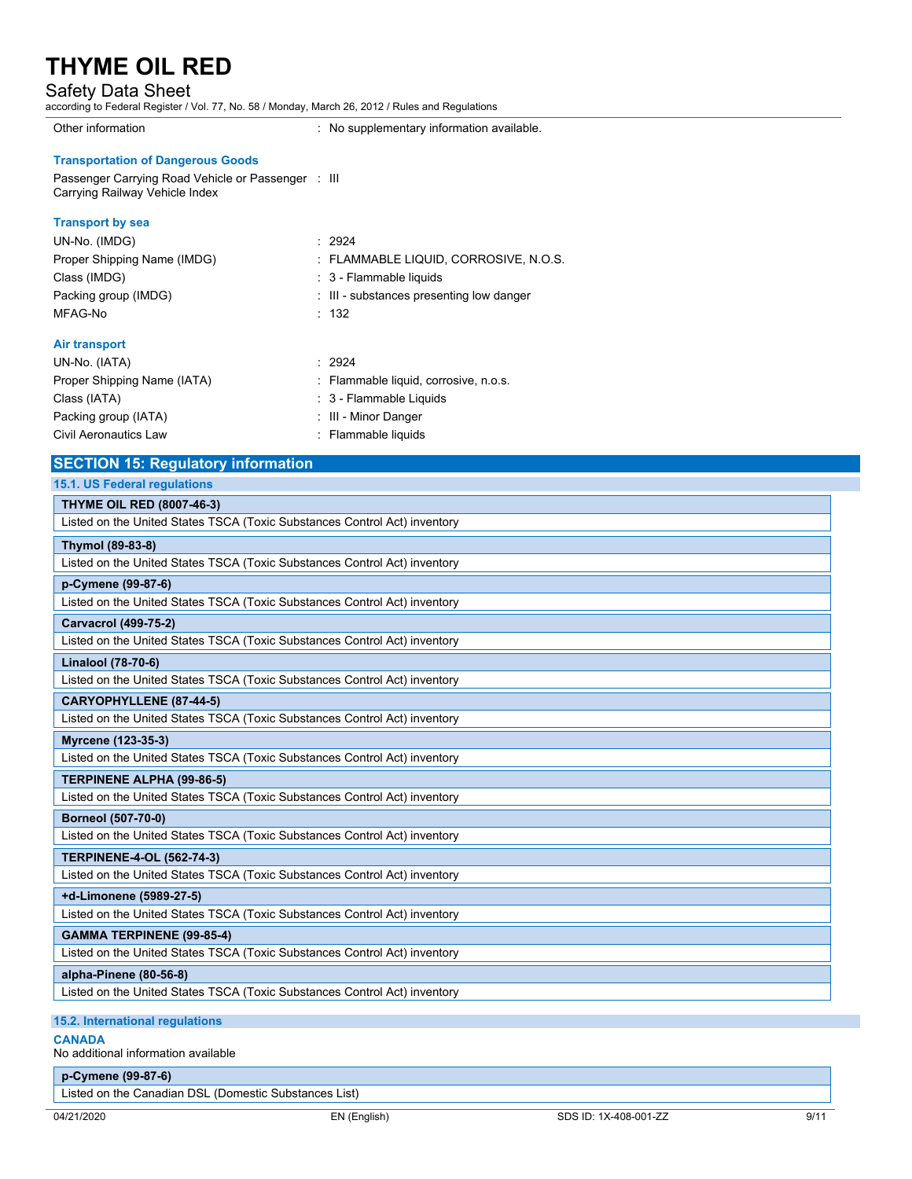## Safety Data Sheet

according to Federal Register / Vol. 77, No. 58 / Monday, March 26, 2012 / Rules and Regulations

Other information **contains the container of the Container**  $\sim$  No supplementary information available.

#### **Transportation of Dangerous Goods**

Passenger Carrying Road Vehicle or Passenger : III Carrying Railway Vehicle Index

### **Transport by sea**

| UN-No. (IMDG)                                                                                       | : 2924                                   |
|-----------------------------------------------------------------------------------------------------|------------------------------------------|
| Proper Shipping Name (IMDG)                                                                         | : FLAMMABLE LIQUID, CORROSIVE, N.O.S.    |
| Class (IMDG)                                                                                        | : 3 - Flammable liquids                  |
| Packing group (IMDG)                                                                                | : III - substances presenting low danger |
| MFAG-No                                                                                             | : 132                                    |
| Air transport                                                                                       |                                          |
| UN-No. (IATA)                                                                                       | : 2924                                   |
| Proper Shipping Name (IATA)                                                                         | : Flammable liquid, corrosive, n.o.s.    |
| $Cl$ $Cl$ $Cl$ $Cl$ $Cl$ $Cl$ $Cl$ $Cl$ $Cl$ $Cl$ $Cl$ $Cl$ $Cl$ $Cl$ $Cl$ $Cl$ $Cl$ $Cl$ $Cl$ $Cl$ | $\cdot$ 2 - Flammable Liquide            |

| Class (IATA)          | : 3 - Flammable Liquids |
|-----------------------|-------------------------|
| Packing group (IATA)  | : III - Minor Danger    |
| Civil Aeronautics Law | : Flammable liquids     |

## **SECTION 15: Regulatory information**

| <b>15.1. US Federal regulations</b>                                       |
|---------------------------------------------------------------------------|
| <b>THYME OIL RED (8007-46-3)</b>                                          |
| Listed on the United States TSCA (Toxic Substances Control Act) inventory |
| Thymol (89-83-8)                                                          |
| Listed on the United States TSCA (Toxic Substances Control Act) inventory |
| p-Cymene (99-87-6)                                                        |
| Listed on the United States TSCA (Toxic Substances Control Act) inventory |
| <b>Carvacrol (499-75-2)</b>                                               |
| Listed on the United States TSCA (Toxic Substances Control Act) inventory |
| Linalool (78-70-6)                                                        |
| Listed on the United States TSCA (Toxic Substances Control Act) inventory |
| <b>CARYOPHYLLENE (87-44-5)</b>                                            |
| Listed on the United States TSCA (Toxic Substances Control Act) inventory |
| Myrcene (123-35-3)                                                        |
| Listed on the United States TSCA (Toxic Substances Control Act) inventory |
| <b>TERPINENE ALPHA (99-86-5)</b>                                          |
| Listed on the United States TSCA (Toxic Substances Control Act) inventory |
| <b>Borneol (507-70-0)</b>                                                 |
| Listed on the United States TSCA (Toxic Substances Control Act) inventory |
| <b>TERPINENE-4-OL (562-74-3)</b>                                          |
| Listed on the United States TSCA (Toxic Substances Control Act) inventory |
| +d-Limonene (5989-27-5)                                                   |
| Listed on the United States TSCA (Toxic Substances Control Act) inventory |
| <b>GAMMA TERPINENE (99-85-4)</b>                                          |
| Listed on the United States TSCA (Toxic Substances Control Act) inventory |
| alpha-Pinene (80-56-8)                                                    |
| Listed on the United States TSCA (Toxic Substances Control Act) inventory |
| 15.2. International regulations                                           |

### **CANADA**

No additional information available

**p-Cymene (99-87-6)**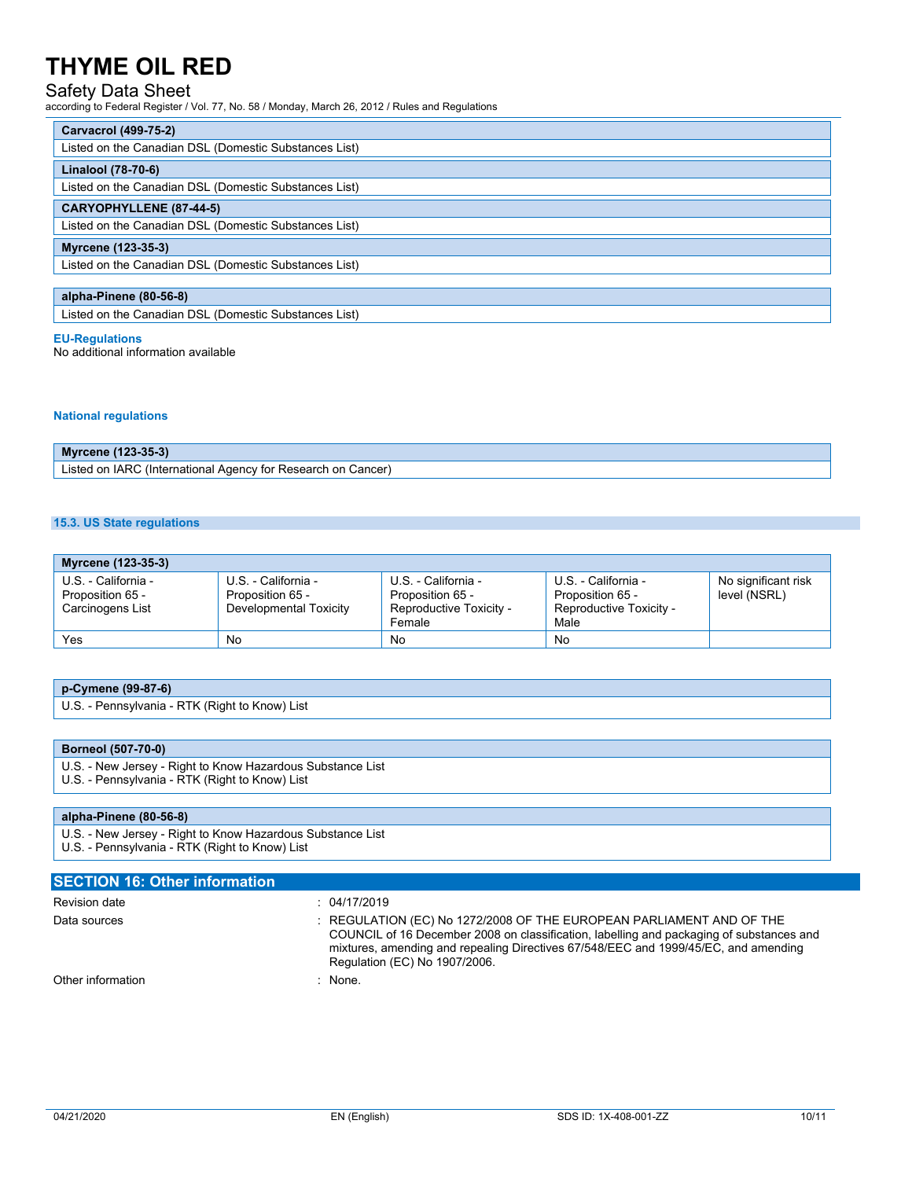## Safety Data Sheet

according to Federal Register / Vol. 77, No. 58 / Monday, March 26, 2012 / Rules and Regulations

| Carvacrol (499-75-2)                                  |
|-------------------------------------------------------|
| Listed on the Canadian DSL (Domestic Substances List) |
| Linalool (78-70-6)                                    |
| Listed on the Canadian DSL (Domestic Substances List) |
| <b>CARYOPHYLLENE (87-44-5)</b>                        |
| Listed on the Canadian DSL (Domestic Substances List) |
| Myrcene (123-35-3)                                    |
| Listed on the Canadian DSL (Domestic Substances List) |
|                                                       |
| alpha-Pinene (80-56-8)                                |
| Listed on the Canadian DSL (Domestic Substances List) |

#### **EU-Regulations**

No additional information available

#### **National regulations**

| $23 - 35 - 3'$<br>Mvr<br>cene .                                                          |
|------------------------------------------------------------------------------------------|
| Listed on IARC /<br>.v for '<br>Cancer<br>, Research<br>or<br>; (International<br>Agency |

#### **15.3. US State regulations**

| Myrcene (123-35-3)                                          |                                                                   |                                                                              |                                                                            |                                     |
|-------------------------------------------------------------|-------------------------------------------------------------------|------------------------------------------------------------------------------|----------------------------------------------------------------------------|-------------------------------------|
| U.S. - California -<br>Proposition 65 -<br>Carcinogens List | U.S. - California -<br>Proposition 65 -<br>Developmental Toxicity | U.S. - California -<br>Proposition 65 -<br>Reproductive Toxicity -<br>Female | U.S. - California -<br>Proposition 65 -<br>Reproductive Toxicity -<br>Male | No significant risk<br>level (NSRL) |
| Yes                                                         | No                                                                | No                                                                           | No                                                                         |                                     |

### **p-Cymene (99-87-6)**

U.S. - Pennsylvania - RTK (Right to Know) List

#### **Borneol (507-70-0)**

- U.S. New Jersey Right to Know Hazardous Substance List
- U.S. Pennsylvania RTK (Right to Know) List

**SECTION 16: Other information**

#### **alpha-Pinene (80-56-8)**

U.S. - New Jersey - Right to Know Hazardous Substance List U.S. - Pennsylvania - RTK (Right to Know) List

| Revision date     | : 04/17/2019                                                                                                                                                                                                                                                                             |
|-------------------|------------------------------------------------------------------------------------------------------------------------------------------------------------------------------------------------------------------------------------------------------------------------------------------|
| Data sources      | : REGULATION (EC) No 1272/2008 OF THE EUROPEAN PARLIAMENT AND OF THE<br>COUNCIL of 16 December 2008 on classification, labelling and packaging of substances and<br>mixtures, amending and repealing Directives 67/548/EEC and 1999/45/EC, and amending<br>Regulation (EC) No 1907/2006. |
| Other information | : None.                                                                                                                                                                                                                                                                                  |